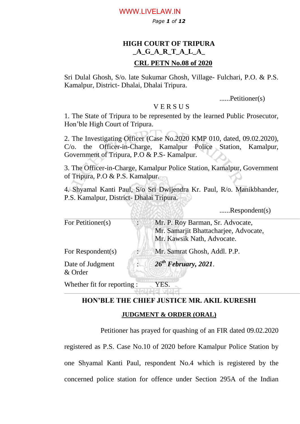### WWW.LIVELAW.IN

*Page 1 of 12*

# **HIGH COURT OF TRIPURA \_A\_G\_A\_R\_T\_A\_L\_A\_**

### **CRL PETN No.08 of 2020**

Sri Dulal Ghosh, S/o. late Sukumar Ghosh, Village- Fulchari, P.O. & P.S. Kamalpur, District- Dhalai, Dhalai Tripura.

......Petitioner(s)

### V E R S U S

1. The State of Tripura to be represented by the learned Public Prosecutor, Hon"ble High Court of Tripura.

2. The Investigating Officer (Case No.2020 KMP 010, dated, 09.02.2020), C/o. the Officer-in-Charge, Kamalpur Police Station, Kamalpur, Government of Tripura, P.O & P.S- Kamalpur.

3. The Officer-in-Charge, Kamalpur Police Station, Kamalpur, Government of Tripura, P.O & P.S. Kamalpur.

4. Shyamal Kanti Paul, S/o Sri Dwijendra Kr. Paul, R/o. Manikbhander, P.S. Kamalpur, District- Dhalai Tripura.

......Respondent(s)

| For Petitioner(s)    | Mr. P. Roy Barman, Sr. Advocate,              |
|----------------------|-----------------------------------------------|
|                      | Mr. Samarjit Bhattacharjee, Advocate,         |
|                      | Mr. Kawsik Nath, Advocate.                    |
| For Respondent $(s)$ | Mr. Samrat Ghosh, Addl. P.P.                  |
| Date of Judgment     | $\therefore$ 26 <sup>th</sup> February, 2021. |
| & Order              |                                               |
|                      |                                               |

Whether fit for reporting : YES.

# **HON'BLE THE CHIEF JUSTICE MR. AKIL KURESHI**

#### **JUDGMENT & ORDER (ORAL)**

Petitioner has prayed for quashing of an FIR dated 09.02.2020

registered as P.S. Case No.10 of 2020 before Kamalpur Police Station by one Shyamal Kanti Paul, respondent No.4 which is registered by the concerned police station for offence under Section 295A of the Indian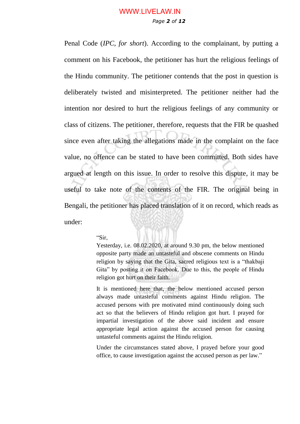## *Page 2 of 12* WWW.LIVELAW.IN

Penal Code (*IPC, for short*). According to the complainant, by putting a comment on his Facebook, the petitioner has hurt the religious feelings of the Hindu community. The petitioner contends that the post in question is deliberately twisted and misinterpreted. The petitioner neither had the intention nor desired to hurt the religious feelings of any community or class of citizens. The petitioner, therefore, requests that the FIR be quashed since even after taking the allegations made in the complaint on the face value, no offence can be stated to have been committed. Both sides have argued at length on this issue. In order to resolve this dispute, it may be useful to take note of the contents of the FIR. The original being in Bengali, the petitioner has placed translation of it on record, which reads as under:

#### "Sir,

Yesterday, i.e. 08.02.2020, at around 9.30 pm, the below mentioned opposite party made an untasteful and obscene comments on Hindu religion by saying that the Gita, sacred religious text is a "thakbaji Gita" by posting it on Facebook. Due to this, the people of Hindu religion got hurt on their faith.

It is mentioned here that, the below mentioned accused person always made untasteful comments against Hindu religion. The accused persons with pre motivated mind continuously doing such act so that the believers of Hindu religion got hurt. I prayed for impartial investigation of the above said incident and ensure appropriate legal action against the accused person for causing untasteful comments against the Hindu religion.

Under the circumstances stated above, I prayed before your good office, to cause investigation against the accused person as per law."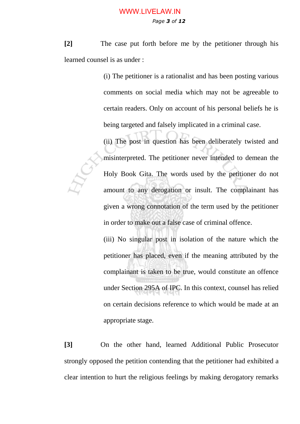### *Page 3 of 12* WWW.LIVELAW.IN

**[2]** The case put forth before me by the petitioner through his learned counsel is as under :

> (i) The petitioner is a rationalist and has been posting various comments on social media which may not be agreeable to certain readers. Only on account of his personal beliefs he is being targeted and falsely implicated in a criminal case.

> (ii) The post in question has been deliberately twisted and misinterpreted. The petitioner never intended to demean the Holy Book Gita. The words used by the petitioner do not amount to any derogation or insult. The complainant has given a wrong connotation of the term used by the petitioner in order to make out a false case of criminal offence.

> (iii) No singular post in isolation of the nature which the petitioner has placed, even if the meaning attributed by the complainant is taken to be true, would constitute an offence under Section 295A of IPC. In this context, counsel has relied on certain decisions reference to which would be made at an appropriate stage.

**[3]** On the other hand, learned Additional Public Prosecutor strongly opposed the petition contending that the petitioner had exhibited a clear intention to hurt the religious feelings by making derogatory remarks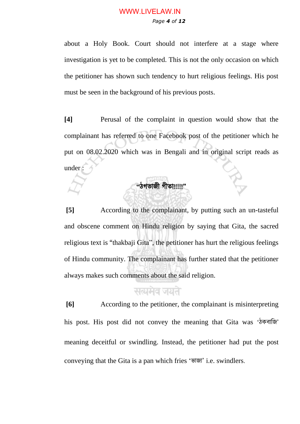## *Page 4 of 12* WWW.LIVELAW.IN

about a Holy Book. Court should not interfere at a stage where investigation is yet to be completed. This is not the only occasion on which the petitioner has shown such tendency to hurt religious feelings. His post must be seen in the background of his previous posts.

**[4]** Perusal of the complaint in question would show that the complainant has referred to one Facebook post of the petitioner which he put on 08.02.2020 which was in Bengali and in original script reads as under :

# **"**ঠগভাজী গীতা!!!!!"

**[5]** According to the complainant, by putting such an un-tasteful and obscene comment on Hindu religion by saying that Gita, the sacred religious text is "thakbaji Gita", the petitioner has hurt the religious feelings of Hindu community. The complainant has further stated that the petitioner always makes such comments about the said religion.

# सत्यमेव जयते

**[6]** According to the petitioner, the complainant is misinterpreting his post. His post did not convey the meaning that Gita was 'ঠকবাজি' meaning deceitful or swindling. Instead, the petitioner had put the post conveying that the Gita is a pan which fries "ভাজা' i.e. swindlers.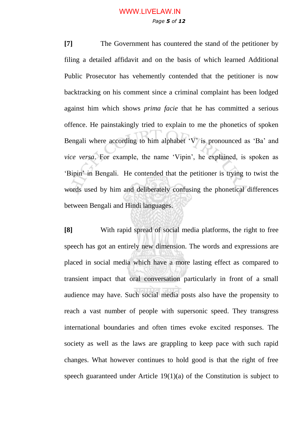# *Page 5 of 12* WWW.LIVELAW.IN

**[7]** The Government has countered the stand of the petitioner by filing a detailed affidavit and on the basis of which learned Additional Public Prosecutor has vehemently contended that the petitioner is now backtracking on his comment since a criminal complaint has been lodged against him which shows *prima facie* that he has committed a serious offence. He painstakingly tried to explain to me the phonetics of spoken Bengali where according to him alphabet 'V' is pronounced as 'Ba' and *vice versa*. For example, the name "Vipin", he explained, is spoken as "Bipin" in Bengali. He contended that the petitioner is trying to twist the words used by him and deliberately confusing the phonetical differences between Bengali and Hindi languages.

**[8]** With rapid spread of social media platforms, the right to free speech has got an entirely new dimension. The words and expressions are placed in social media which have a more lasting effect as compared to transient impact that oral conversation particularly in front of a small audience may have. Such social media posts also have the propensity to reach a vast number of people with supersonic speed. They transgress international boundaries and often times evoke excited responses. The society as well as the laws are grappling to keep pace with such rapid changes. What however continues to hold good is that the right of free speech guaranteed under Article 19(1)(a) of the Constitution is subject to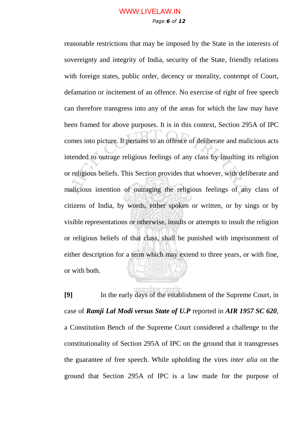# *Page 6 of 12* WWW.LIVELAW.IN

reasonable restrictions that may be imposed by the State in the interests of sovereignty and integrity of India, security of the State, friendly relations with foreign states, public order, decency or morality, contempt of Court, defamation or incitement of an offence. No exercise of right of free speech can therefore transgress into any of the areas for which the law may have been framed for above purposes. It is in this context, Section 295A of IPC comes into picture. It pertains to an offence of deliberate and malicious acts intended to outrage religious feelings of any class by insulting its religion or religious beliefs. This Section provides that whoever, with deliberate and malicious intention of outraging the religious feelings of any class of citizens of India, by words, either spoken or written, or by sings or by visible representations or otherwise, insults or attempts to insult the religion or religious beliefs of that class, shall be punished with imprisonment of either description for a term which may extend to three years, or with fine, or with both.

**[9]** In the early days of the establishment of the Supreme Court, in case of *Ramji Lal Modi versus State of U.P* reported in *AIR 1957 SC 620*, a Constitution Bench of the Supreme Court considered a challenge to the constitutionality of Section 295A of IPC on the ground that it transgresses the guarantee of free speech. While upholding the vires *inter alia* on the ground that Section 295A of IPC is a law made for the purpose of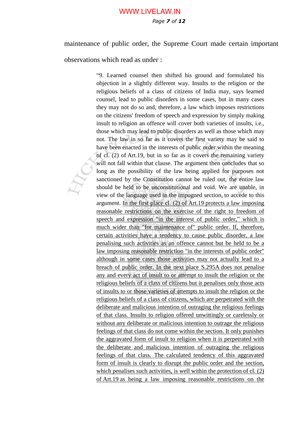## *Page 7 of 12* WWW.LIVELAW.IN

maintenance of public order, the Supreme Court made certain important

observations which read as under :

"9. Learned counsel then shifted his ground and formulated his objection in a slightly different way. Insults to the religion or the religious beliefs of a class of citizens of India may, says learned counsel, lead to public disorders in some cases, but in many cases they may not do so and, therefore, a law which imposes restrictions on the citizens' freedom of speech and expression by simply making insult to religion an offence will cover both varieties of insults, i.e., those which may lead to public disorders as well as those which may not. The law in so far as it covers the first variety may be said to have been enacted in the interests of public order within the meaning of cl. (2) of [Art.19,](https://indiankanoon.org/doc/1218090/) but in so far as it covers the remaining variety will not fall within that clause. The argument then concludes that so long as the possibility of the law being applied for purposes not sanctioned by the Constitution cannot be ruled out, the entire law should be held to be unconstitutional and void. We are unable, in view of the language used in the impugned section, to accede to this argument. In the first place cl. (2) of [Art.19](https://indiankanoon.org/doc/1218090/) protects a law imposing reasonable restrictions on the exercise of the right to freedom of speech and expression "in the interest of public order," which is much wider than "for maintenance of" public order. If, therefore, certain activities have a tendency to cause public disorder, a law penalising such activities as an offence cannot but be held to be a law imposing reasonable restriction "in the interests of public order" although in some cases those activities may not actually lead to a breach of public order. In the next place [S.295A](https://indiankanoon.org/doc/1803184/) does not penalise any and every act of insult to or attempt to insult the religion or the religious beliefs of a class of citizens but it penalises only those acts of insults to or those varieties of attempts to insult the religion or the religious beliefs of a class of citizens, which are perpetrated with the deliberate and malicious intention of outraging the religious feelings of that class. Insults to religion offered unwittingly or carelessly or without any deliberate or malicious intention to outrage the religious feelings of that class do not come within the section. It only punishes the aggravated form of insult to religion when it is perpetrated with the deliberate and malicious intention of outraging the religious feelings of that class. The calculated tendency of this aggravated form of insult is clearly to disrupt the public order and the section, which penalises such activities, is well within the protection of cl. (2) of [Art.19](https://indiankanoon.org/doc/1218090/) as being a law imposing reasonable restrictions on the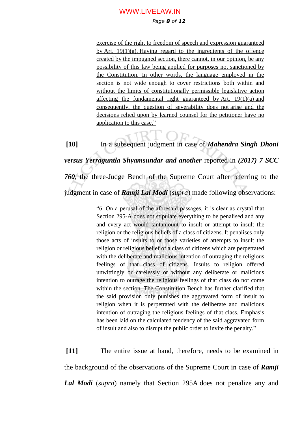### WWW.LIVELAW.IN

### *Page 8 of 12*

exercise of the right to freedom of speech and expression guaranteed by Art.  $19(1)(a)$ . Having regard to the ingredients of the offence created by the impugned section, there cannot, in our opinion, be any possibility of this law being applied for purposes not sanctioned by the Constitution. In other words, the language employed in the section is not wide enough to cover restrictions both within and without the limits of constitutionally permissible legislative action affecting the fundamental right guaranteed by [Art. 19\(1\)\(a\)](https://indiankanoon.org/doc/1142233/) and consequently, the question of severability does not arise and the decisions relied upon by learned counsel for the petitioner have no application to this case."

**[10]** In a subsequent judgment in case of *Mahendra Singh Dhoni versus Yerraguntla Shyamsundar and another* reported in *(2017) 7 SCC 760*, the three-Judge Bench of the Supreme Court after referring to the judgment in case of *Ramji Lal Modi* (*supra*) made following observations:

> "6. On a perusal of the aforesaid passages, it is clear as crystal that Section 295-A does not stipulate everything to be penalised and any and every act would tantamount to insult or attempt to insult the religion or the religious beliefs of a class of citizens. It penalises only those acts of insults to or those varieties of attempts to insult the religion or religious belief of a class of citizens which are perpetrated with the deliberate and malicious intention of outraging the religious feelings of that class of citizens. Insults to religion offered unwittingly or carelessly or without any deliberate or malicious intention to outrage the religious feelings of that class do not come within the section. The Constitution Bench has further clarified that the said provision only punishes the aggravated form of insult to religion when it is perpetrated with the deliberate and malicious intention of outraging the religious feelings of that class. Emphasis has been laid on the calculated tendency of the said aggravated form of insult and also to disrupt the public order to invite the penalty."

**[11]** The entire issue at hand, therefore, needs to be examined in the background of the observations of the Supreme Court in case of *Ramji Lal Modi* (*supra*) namely that Section 295A does not penalize any and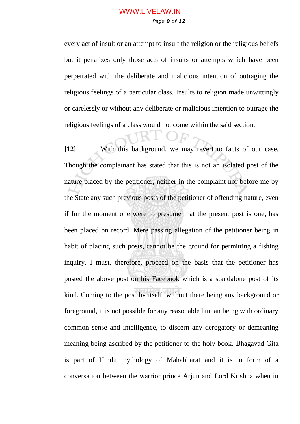every act of insult or an attempt to insult the religion or the religious beliefs but it penalizes only those acts of insults or attempts which have been perpetrated with the deliberate and malicious intention of outraging the religious feelings of a particular class. Insults to religion made unwittingly or carelessly or without any deliberate or malicious intention to outrage the religious feelings of a class would not come within the said section.

**[12]** With this background, we may revert to facts of our case. Though the complainant has stated that this is not an isolated post of the nature placed by the petitioner, neither in the complaint nor before me by the State any such previous posts of the petitioner of offending nature, even if for the moment one were to presume that the present post is one, has been placed on record. Mere passing allegation of the petitioner being in habit of placing such posts, cannot be the ground for permitting a fishing inquiry. I must, therefore, proceed on the basis that the petitioner has posted the above post on his Facebook which is a standalone post of its kind. Coming to the post by itself, without there being any background or foreground, it is not possible for any reasonable human being with ordinary common sense and intelligence, to discern any derogatory or demeaning meaning being ascribed by the petitioner to the holy book. Bhagavad Gita is part of Hindu mythology of Mahabharat and it is in form of a conversation between the warrior prince Arjun and Lord Krishna when in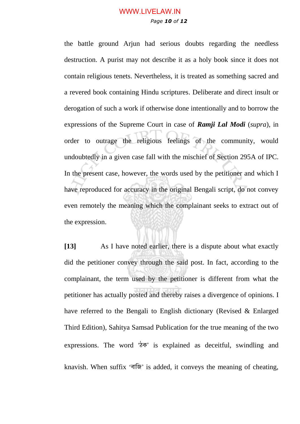## *Page 10 of 12* WWW.LIVELAW.IN

the battle ground Arjun had serious doubts regarding the needless destruction. A purist may not describe it as a holy book since it does not contain religious tenets. Nevertheless, it is treated as something sacred and a revered book containing Hindu scriptures. Deliberate and direct insult or derogation of such a work if otherwise done intentionally and to borrow the expressions of the Supreme Court in case of *Ramji Lal Modi* (*supra*), in order to outrage the religious feelings of the community, would undoubtedly in a given case fall with the mischief of Section 295A of IPC. In the present case, however, the words used by the petitioner and which I have reproduced for accuracy in the original Bengali script, do not convey even remotely the meaning which the complainant seeks to extract out of the expression.

**[13]** As I have noted earlier, there is a dispute about what exactly did the petitioner convey through the said post. In fact, according to the complainant, the term used by the petitioner is different from what the petitioner has actually posted and thereby raises a divergence of opinions. I have referred to the Bengali to English dictionary (Revised & Enlarged Third Edition), Sahitya Samsad Publication for the true meaning of the two expressions. The word 'ঠক' is explained as deceitful, swindling and knavish. When suffix 'বাজি' is added, it conveys the meaning of cheating,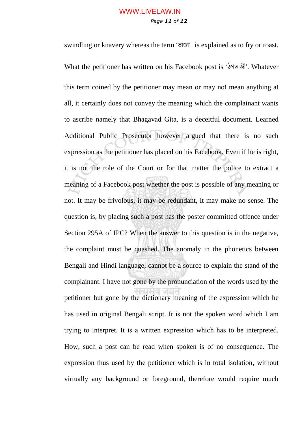## *Page 11 of 12* WWW.LIVELAW.IN

swindling or knavery whereas the term 'ভাজা' is explained as to fry or roast. What the petitioner has written on his Facebook post is "ঠগভাজী'. Whatever this term coined by the petitioner may mean or may not mean anything at all, it certainly does not convey the meaning which the complainant wants to ascribe namely that Bhagavad Gita, is a deceitful document. Learned Additional Public Prosecutor however argued that there is no such expression as the petitioner has placed on his Facebook. Even if he is right, it is not the role of the Court or for that matter the police to extract a meaning of a Facebook post whether the post is possible of any meaning or not. It may be frivolous, it may be redundant, it may make no sense. The question is, by placing such a post has the poster committed offence under Section 295A of IPC? When the answer to this question is in the negative, the complaint must be quashed. The anomaly in the phonetics between Bengali and Hindi language, cannot be a source to explain the stand of the complainant. I have not gone by the pronunciation of the words used by the petitioner but gone by the dictionary meaning of the expression which he has used in original Bengali script. It is not the spoken word which I am trying to interpret. It is a written expression which has to be interpreted. How, such a post can be read when spoken is of no consequence. The expression thus used by the petitioner which is in total isolation, without virtually any background or foreground, therefore would require much